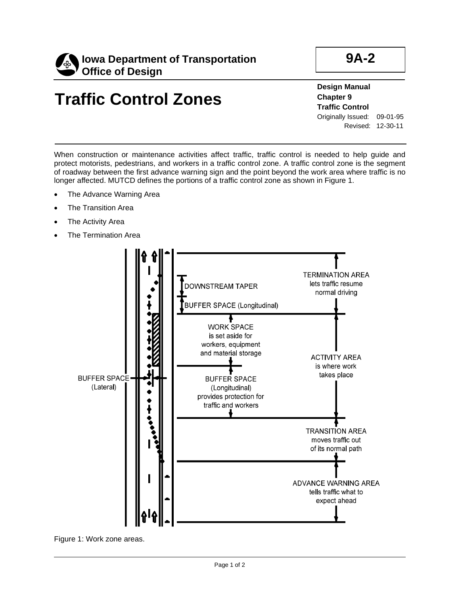

# **Traffic Control Zones**

**Design Manual Chapter 9 Traffic Control**  Originally Issued: 09-01-95 Revised: 12-30-11

When construction or maintenance activities affect traffic, traffic control is needed to help guide and protect motorists, pedestrians, and workers in a traffic control zone. A traffic control zone is the segment of roadway between the first advance warning sign and the point beyond the work area where traffic is no longer affected. MUTCD defines the portions of a traffic control zone as shown in Figure 1.

- The Advance Warning Area
- The Transition Area
- The Activity Area
- The Termination Area



Figure 1: Work zone areas.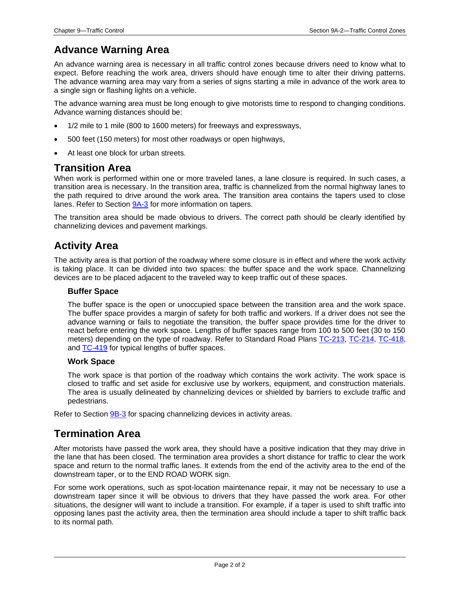## **Advance Warning Area**

An advance warning area is necessary in all traffic control zones because drivers need to know what to expect. Before reaching the work area, drivers should have enough time to alter their driving patterns. The advance warning area may vary from a series of signs starting a mile in advance of the work area to a single sign or flashing lights on a vehicle.

The advance warning area must be long enough to give motorists time to respond to changing conditions. Advance warning distances should be:

- 1/2 mile to 1 mile (800 to 1600 meters) for freeways and expressways,
- 500 feet (150 meters) for most other roadways or open highways,
- At least one block for urban streets.

### **Transition Area**

When work is performed within one or more traveled lanes, a lane closure is required. In such cases, a transition area is necessary. In the transition area, traffic is channelized from the normal highway lanes to the path required to drive around the work area. The transition area contains the tapers used to close lanes. Refer to Section [9A-3](09a-03.pdf) for more information on tapers.

The transition area should be made obvious to drivers. The correct path should be clearly identified by channelizing devices and pavement markings.

## **Activity Area**

The activity area is that portion of the roadway where some closure is in effect and where the work activity is taking place. It can be divided into two spaces: the buffer space and the work space. Channelizing devices are to be placed adjacent to the traveled way to keep traffic out of these spaces.

#### **Buffer Space**

The buffer space is the open or unoccupied space between the transition area and the work space. The buffer space provides a margin of safety for both traffic and workers. If a driver does not see the advance warning or fails to negotiate the transition, the buffer space provides time for the driver to react before entering the work space. Lengths of buffer spaces range from 100 to 500 feet (30 to 150 meters) depending on the type of roadway. Refer to Standard Road Plans [TC-213,](../SRP/IndividualStandards/tc213.pdf) [TC-214,](../SRP/IndividualStandards/tc214.pdf) [TC-418,](../SRP/IndividualStandards/tc418.pdf) and [TC-419](../SRP/IndividualStandards/tc419.pdf) for typical lengths of buffer spaces.

#### **Work Space**

The work space is that portion of the roadway which contains the work activity. The work space is closed to traffic and set aside for exclusive use by workers, equipment, and construction materials. The area is usually delineated by channelizing devices or shielded by barriers to exclude traffic and pedestrians.

Refer to Section [9B-3](09b-03.pdf) for spacing channelizing devices in activity areas.

### **Termination Area**

After motorists have passed the work area, they should have a positive indication that they may drive in the lane that has been closed. The termination area provides a short distance for traffic to clear the work space and return to the normal traffic lanes. It extends from the end of the activity area to the end of the downstream taper, or to the END ROAD WORK sign.

For some work operations, such as spot-location maintenance repair, it may not be necessary to use a downstream taper since it will be obvious to drivers that they have passed the work area. For other situations, the designer will want to include a transition. For example, if a taper is used to shift traffic into opposing lanes past the activity area, then the termination area should include a taper to shift traffic back to its normal path.